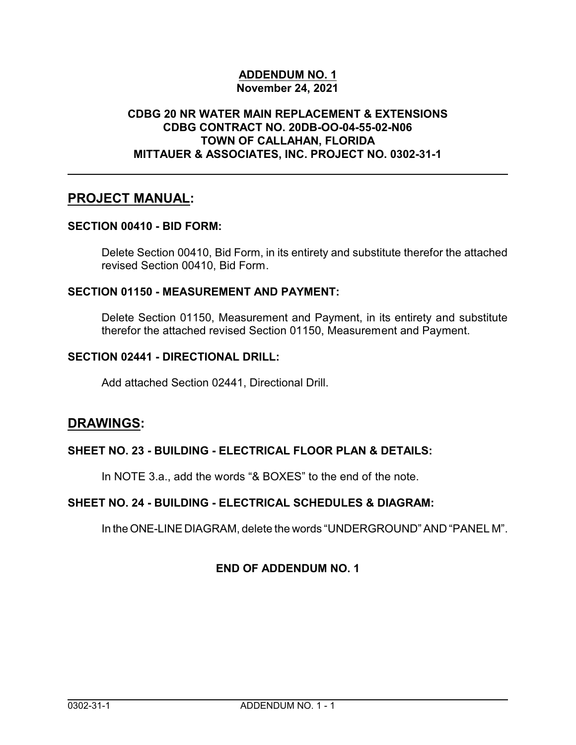#### **ADDENDUM NO. 1 November 24, 2021**

#### **CDBG 20 NR WATER MAIN REPLACEMENT & EXTENSIONS CDBG CONTRACT NO. 20DB-OO-04-55-02-N06 TOWN OF CALLAHAN, FLORIDA MITTAUER & ASSOCIATES, INC. PROJECT NO. 0302-31-1**

# **PROJECT MANUAL:**

#### **SECTION 00410 - BID FORM:**

Delete Section 00410, Bid Form, in its entirety and substitute therefor the attached revised Section 00410, Bid Form.

#### **SECTION 01150 - MEASUREMENT AND PAYMENT:**

Delete Section 01150, Measurement and Payment, in its entirety and substitute therefor the attached revised Section 01150, Measurement and Payment.

#### **SECTION 02441 - DIRECTIONAL DRILL:**

Add attached Section 02441, Directional Drill.

### **DRAWINGS:**

#### **SHEET NO. 23 - BUILDING - ELECTRICAL FLOOR PLAN & DETAILS:**

In NOTE 3.a., add the words "& BOXES" to the end of the note.

#### **SHEET NO. 24 - BUILDING - ELECTRICAL SCHEDULES & DIAGRAM:**

In theONE-LINE DIAGRAM, delete the words "UNDERGROUND" AND "PANEL M".

#### **END OF ADDENDUM NO. 1**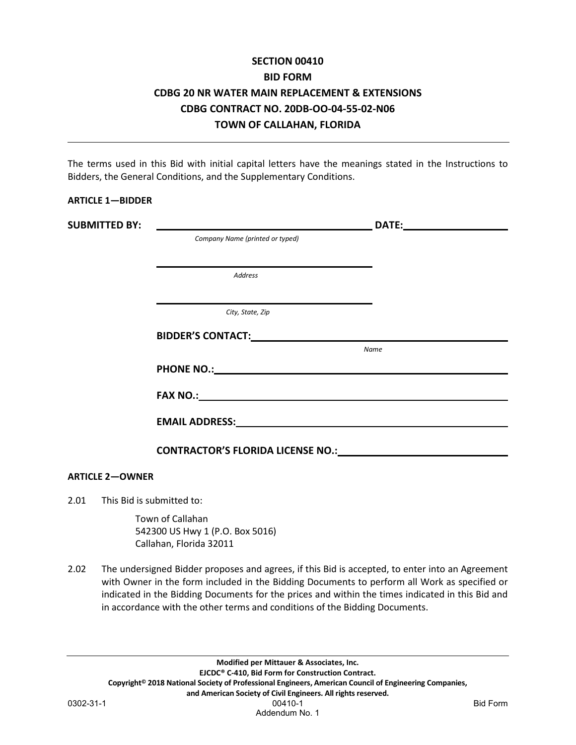# **SECTION 00410 BID FORM CDBG 20 NR WATER MAIN REPLACEMENT & EXTENSIONS CDBG CONTRACT NO. 20DB-OO-04-55-02-N06 TOWN OF CALLAHAN, FLORIDA**

The terms used in this Bid with initial capital letters have the meanings stated in the Instructions to Bidders, the General Conditions, and the Supplementary Conditions.

| <b>ARTICLE 1-BIDDER</b> |                                                                                                                                                                                                                                      |      |
|-------------------------|--------------------------------------------------------------------------------------------------------------------------------------------------------------------------------------------------------------------------------------|------|
|                         |                                                                                                                                                                                                                                      |      |
|                         | Company Name (printed or typed)                                                                                                                                                                                                      |      |
|                         |                                                                                                                                                                                                                                      |      |
|                         | <b>Address</b>                                                                                                                                                                                                                       |      |
|                         |                                                                                                                                                                                                                                      |      |
|                         | City, State, Zip                                                                                                                                                                                                                     |      |
|                         |                                                                                                                                                                                                                                      |      |
|                         |                                                                                                                                                                                                                                      | Name |
|                         |                                                                                                                                                                                                                                      |      |
|                         | FAX NO.: <u>Andreas Communications of the second contract of the second contract of the second contract of the second contract of the second contract of the second contract of the second contract of the second contract of th</u> |      |
|                         | EMAIL ADDRESS: University of the contract of the contract of the contract of the contract of the contract of the contract of the contract of the contract of the contract of the contract of the contract of the contract of t       |      |
|                         | CONTRACTOR'S FLORIDA LICENSE NO.: NORTHLORIDA CONTRACTOR'S FLORIDA LICENSE NO.:                                                                                                                                                      |      |
|                         |                                                                                                                                                                                                                                      |      |
| <b>ARTICLE 2-OWNER</b>  |                                                                                                                                                                                                                                      |      |

2.01 This Bid is submitted to:

Town of Callahan 542300 US Hwy 1 (P.O. Box 5016) Callahan, Florida 32011

2.02 The undersigned Bidder proposes and agrees, if this Bid is accepted, to enter into an Agreement with Owner in the form included in the Bidding Documents to perform all Work as specified or indicated in the Bidding Documents for the prices and within the times indicated in this Bid and in accordance with the other terms and conditions of the Bidding Documents.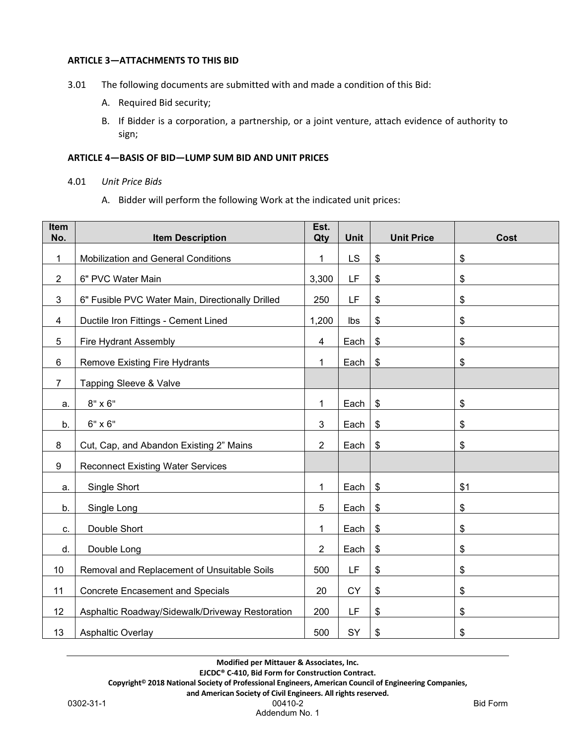#### **ARTICLE 3—ATTACHMENTS TO THIS BID**

- 3.01 The following documents are submitted with and made a condition of this Bid:
	- A. Required Bid security;
	- B. If Bidder is a corporation, a partnership, or a joint venture, attach evidence of authority to sign;

#### **ARTICLE 4—BASIS OF BID—LUMP SUM BID AND UNIT PRICES**

- 4.01 *Unit Price Bids*
	- A. Bidder will perform the following Work at the indicated unit prices:

| Item<br>No.    | <b>Item Description</b>                          | Est.<br>Qty    | <b>Unit</b> | <b>Unit Price</b> | <b>Cost</b>                |
|----------------|--------------------------------------------------|----------------|-------------|-------------------|----------------------------|
| $\mathbf{1}$   | <b>Mobilization and General Conditions</b>       | $\mathbf{1}$   | <b>LS</b>   | \$                | $\boldsymbol{\mathsf{S}}$  |
| $\overline{2}$ | 6" PVC Water Main                                | 3,300          | LF          | \$                | \$                         |
| 3              | 6" Fusible PVC Water Main, Directionally Drilled | 250            | LF          | \$                | \$                         |
| $\overline{4}$ | Ductile Iron Fittings - Cement Lined             | 1,200          | Ibs         | \$                | $\boldsymbol{\mathsf{\$}}$ |
| 5              | Fire Hydrant Assembly                            | 4              | Each        | \$                | \$                         |
| 6              | Remove Existing Fire Hydrants                    | 1              | Each        | \$                | \$                         |
| $\overline{7}$ | Tapping Sleeve & Valve                           |                |             |                   |                            |
| a.             | $8" \times 6"$                                   | $\mathbf 1$    | Each        | $\frac{1}{2}$     | $\boldsymbol{\mathsf{S}}$  |
| b.             | 6" x 6"                                          | 3              | Each        | \$                | \$                         |
| 8              | Cut, Cap, and Abandon Existing 2" Mains          | $\overline{2}$ | Each        | \$                | $\boldsymbol{\mathsf{S}}$  |
| 9              | <b>Reconnect Existing Water Services</b>         |                |             |                   |                            |
| a.             | Single Short                                     | 1              | Each        | \$                | \$1                        |
| b.             | Single Long                                      | 5              | Each        | \$                | \$                         |
| C.             | Double Short                                     | 1              | Each        | \$                | \$                         |
| d.             | Double Long                                      | $\overline{2}$ | Each        | \$                | \$                         |
| 10             | Removal and Replacement of Unsuitable Soils      | 500            | LF          | \$                | \$                         |
| 11             | <b>Concrete Encasement and Specials</b>          | 20             | <b>CY</b>   | \$                | $\boldsymbol{\mathsf{\$}}$ |
| 12             | Asphaltic Roadway/Sidewalk/Driveway Restoration  | 200            | LF          | \$                | \$                         |
| 13             | Asphaltic Overlay                                | 500            | SY          | \$                | \$                         |

**Modified per Mittauer & Associates, Inc.**

**EJCDC® C-410, Bid Form for Construction Contract.**

**Copyright© 2018 National Society of Professional Engineers, American Council of Engineering Companies,**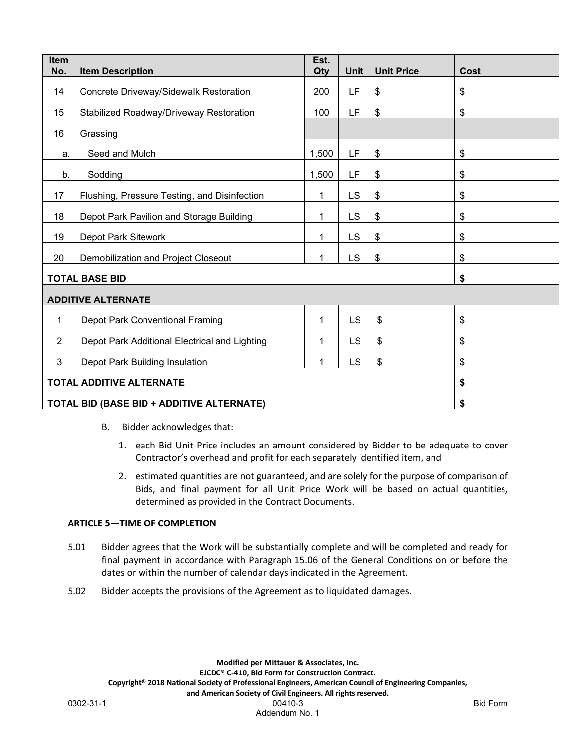| Item<br>No.                                      | <b>Item Description</b>                                          | Est.<br>Qty | <b>Unit</b> | <b>Unit Price</b> | <b>Cost</b> |  |
|--------------------------------------------------|------------------------------------------------------------------|-------------|-------------|-------------------|-------------|--|
| 14                                               | Concrete Driveway/Sidewalk Restoration                           | 200         | LF          | \$                | \$          |  |
| 15                                               | Stabilized Roadway/Driveway Restoration                          | 100         | LF          | \$                | \$          |  |
| 16                                               | Grassing                                                         |             |             |                   |             |  |
| a.                                               | Seed and Mulch                                                   | 1,500       | LF          | \$                | \$          |  |
| b.                                               | Sodding                                                          | 1,500       | LF          | \$                | \$          |  |
| 17                                               | Flushing, Pressure Testing, and Disinfection                     | 1           | <b>LS</b>   | \$                | \$          |  |
| 18                                               |                                                                  | 1           | <b>LS</b>   | \$                | \$          |  |
|                                                  | Depot Park Pavilion and Storage Building                         | 1           | LS          |                   |             |  |
| 19                                               | Depot Park Sitework                                              |             |             | \$                | \$          |  |
|                                                  | 20<br>LS<br>\$<br>\$<br>Demobilization and Project Closeout<br>1 |             |             |                   |             |  |
| <b>TOTAL BASE BID</b><br>\$                      |                                                                  |             |             |                   |             |  |
|                                                  | <b>ADDITIVE ALTERNATE</b>                                        |             |             |                   |             |  |
| 1                                                | Depot Park Conventional Framing                                  | 1           | <b>LS</b>   | \$                | \$          |  |
| $\overline{2}$                                   | Depot Park Additional Electrical and Lighting                    | 1           | <b>LS</b>   | \$                | \$          |  |
| 3                                                | LS<br>\$<br>Depot Park Building Insulation<br>1                  |             |             | \$                |             |  |
| <b>TOTAL ADDITIVE ALTERNATE</b>                  |                                                                  |             |             | \$                |             |  |
| <b>TOTAL BID (BASE BID + ADDITIVE ALTERNATE)</b> |                                                                  |             |             | \$                |             |  |

- B. Bidder acknowledges that:
	- 1. each Bid Unit Price includes an amount considered by Bidder to be adequate to cover Contractor's overhead and profit for each separately identified item, and
	- 2. estimated quantities are not guaranteed, and are solely for the purpose of comparison of Bids, and final payment for all Unit Price Work will be based on actual quantities, determined as provided in the Contract Documents.

#### **ARTICLE 5—TIME OF COMPLETION**

- 5.01 Bidder agrees that the Work will be substantially complete and will be completed and ready for final payment in accordance with Paragraph 15.06 of the General Conditions on or before the dates or within the number of calendar days indicated in the Agreement.
- 5.02 Bidder accepts the provisions of the Agreement as to liquidated damages.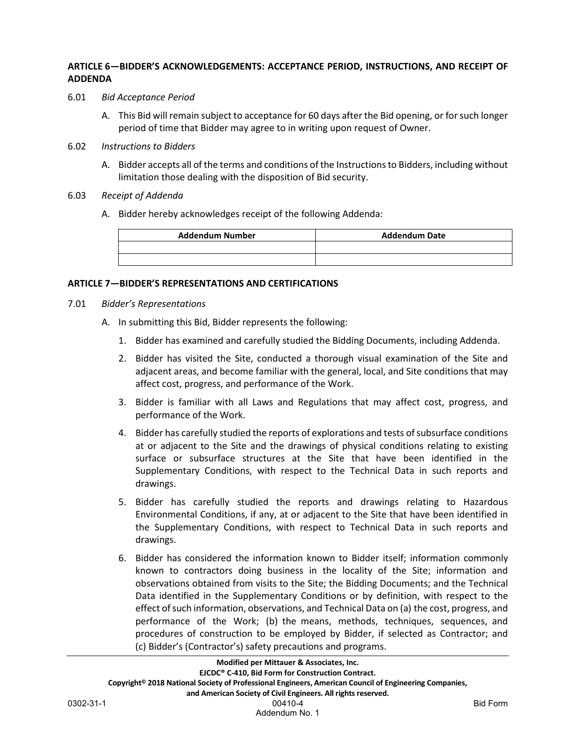#### **ARTICLE 6—BIDDER'S ACKNOWLEDGEMENTS: ACCEPTANCE PERIOD, INSTRUCTIONS, AND RECEIPT OF ADDENDA**

- 6.01 *Bid Acceptance Period*
	- A. This Bid will remain subject to acceptance for 60 days after the Bid opening, or for such longer period of time that Bidder may agree to in writing upon request of Owner.
- 6.02 *Instructions to Bidders*
	- A. Bidder accepts all of the terms and conditions of the Instructions to Bidders, including without limitation those dealing with the disposition of Bid security.
- 6.03 *Receipt of Addenda*
	- A. Bidder hereby acknowledges receipt of the following Addenda:

| <b>Addendum Number</b> | <b>Addendum Date</b> |
|------------------------|----------------------|
|                        |                      |
|                        |                      |

#### **ARTICLE 7—BIDDER'S REPRESENTATIONS AND CERTIFICATIONS**

- 7.01 *Bidder's Representations*
	- A. In submitting this Bid, Bidder represents the following:
		- 1. Bidder has examined and carefully studied the Bidding Documents, including Addenda.
		- 2. Bidder has visited the Site, conducted a thorough visual examination of the Site and adjacent areas, and become familiar with the general, local, and Site conditions that may affect cost, progress, and performance of the Work.
		- 3. Bidder is familiar with all Laws and Regulations that may affect cost, progress, and performance of the Work.
		- 4. Bidder has carefully studied the reports of explorations and tests of subsurface conditions at or adjacent to the Site and the drawings of physical conditions relating to existing surface or subsurface structures at the Site that have been identified in the Supplementary Conditions, with respect to the Technical Data in such reports and drawings.
		- 5. Bidder has carefully studied the reports and drawings relating to Hazardous Environmental Conditions, if any, at or adjacent to the Site that have been identified in the Supplementary Conditions, with respect to Technical Data in such reports and drawings.
		- 6. Bidder has considered the information known to Bidder itself; information commonly known to contractors doing business in the locality of the Site; information and observations obtained from visits to the Site; the Bidding Documents; and the Technical Data identified in the Supplementary Conditions or by definition, with respect to the effect of such information, observations, and Technical Data on (a) the cost, progress, and performance of the Work; (b) the means, methods, techniques, sequences, and procedures of construction to be employed by Bidder, if selected as Contractor; and (c) Bidder's (Contractor's) safety precautions and programs.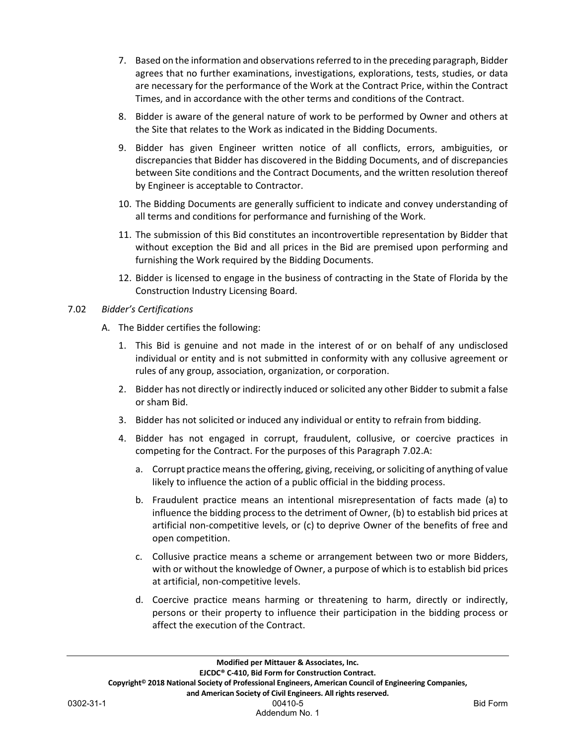- 7. Based on the information and observations referred to in the preceding paragraph, Bidder agrees that no further examinations, investigations, explorations, tests, studies, or data are necessary for the performance of the Work at the Contract Price, within the Contract Times, and in accordance with the other terms and conditions of the Contract.
- 8. Bidder is aware of the general nature of work to be performed by Owner and others at the Site that relates to the Work as indicated in the Bidding Documents.
- 9. Bidder has given Engineer written notice of all conflicts, errors, ambiguities, or discrepancies that Bidder has discovered in the Bidding Documents, and of discrepancies between Site conditions and the Contract Documents, and the written resolution thereof by Engineer is acceptable to Contractor.
- 10. The Bidding Documents are generally sufficient to indicate and convey understanding of all terms and conditions for performance and furnishing of the Work.
- 11. The submission of this Bid constitutes an incontrovertible representation by Bidder that without exception the Bid and all prices in the Bid are premised upon performing and furnishing the Work required by the Bidding Documents.
- 12. Bidder is licensed to engage in the business of contracting in the State of Florida by the Construction Industry Licensing Board.

#### 7.02 *Bidder's Certifications*

- A. The Bidder certifies the following:
	- 1. This Bid is genuine and not made in the interest of or on behalf of any undisclosed individual or entity and is not submitted in conformity with any collusive agreement or rules of any group, association, organization, or corporation.
	- 2. Bidder has not directly or indirectly induced or solicited any other Bidder to submit a false or sham Bid.
	- 3. Bidder has not solicited or induced any individual or entity to refrain from bidding.
	- 4. Bidder has not engaged in corrupt, fraudulent, collusive, or coercive practices in competing for the Contract. For the purposes of this Paragraph 7.02.A:
		- a. Corrupt practice means the offering, giving, receiving, or soliciting of anything of value likely to influence the action of a public official in the bidding process.
		- b. Fraudulent practice means an intentional misrepresentation of facts made (a) to influence the bidding process to the detriment of Owner, (b) to establish bid prices at artificial non-competitive levels, or (c) to deprive Owner of the benefits of free and open competition.
		- c. Collusive practice means a scheme or arrangement between two or more Bidders, with or without the knowledge of Owner, a purpose of which is to establish bid prices at artificial, non-competitive levels.
		- d. Coercive practice means harming or threatening to harm, directly or indirectly, persons or their property to influence their participation in the bidding process or affect the execution of the Contract.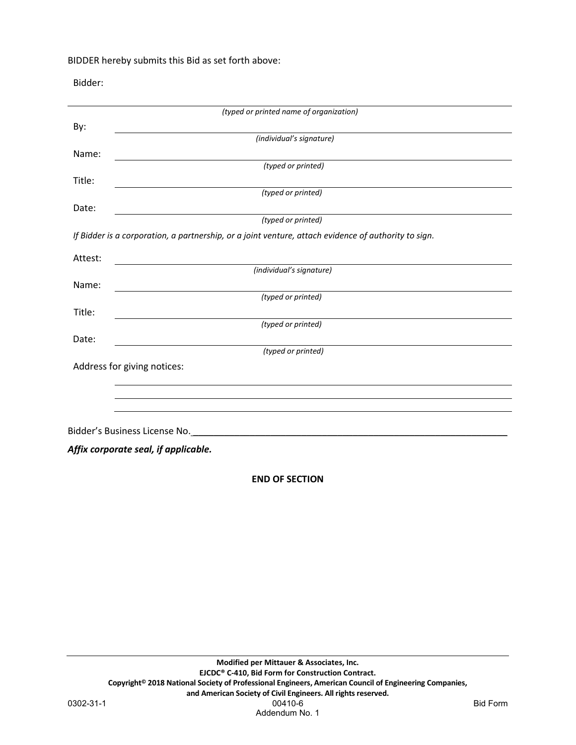BIDDER hereby submits this Bid as set forth above:

Bidder:

|         | (typed or printed name of organization)                                                              |
|---------|------------------------------------------------------------------------------------------------------|
| By:     |                                                                                                      |
|         | (individual's signature)                                                                             |
| Name:   |                                                                                                      |
|         | (typed or printed)                                                                                   |
| Title:  |                                                                                                      |
|         | (typed or printed)                                                                                   |
| Date:   | (typed or printed)                                                                                   |
|         | If Bidder is a corporation, a partnership, or a joint venture, attach evidence of authority to sign. |
|         |                                                                                                      |
| Attest: |                                                                                                      |
|         | (individual's signature)                                                                             |
| Name:   |                                                                                                      |
|         | (typed or printed)                                                                                   |
| Title:  | (typed or printed)                                                                                   |
|         |                                                                                                      |
| Date:   | (typed or printed)                                                                                   |
|         | Address for giving notices:                                                                          |
|         |                                                                                                      |
|         |                                                                                                      |
|         |                                                                                                      |
|         |                                                                                                      |
|         |                                                                                                      |
|         | Affix corporate seal, if applicable.                                                                 |
|         |                                                                                                      |

**END OF SECTION**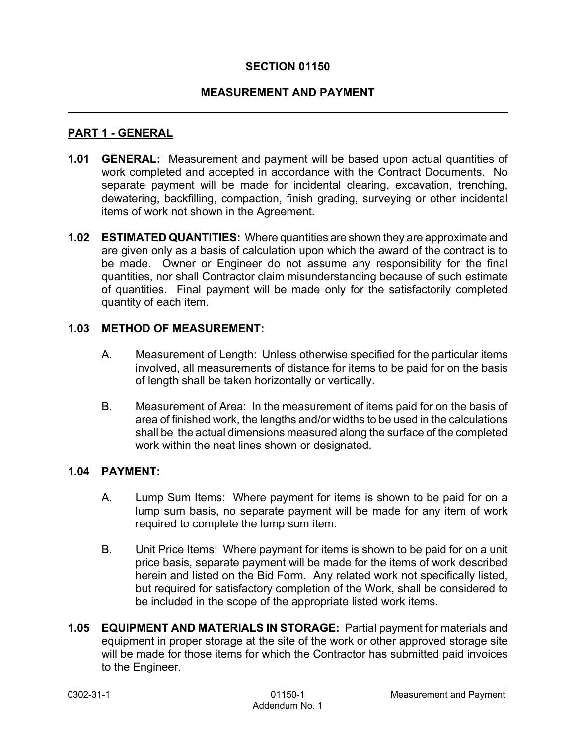# **SECTION 01150**

### **MEASUREMENT AND PAYMENT**

#### **PART 1 - GENERAL**

- **1.01 GENERAL:** Measurement and payment will be based upon actual quantities of work completed and accepted in accordance with the Contract Documents. No separate payment will be made for incidental clearing, excavation, trenching, dewatering, backfilling, compaction, finish grading, surveying or other incidental items of work not shown in the Agreement.
- **1.02 ESTIMATED QUANTITIES:** Where quantities are shown they are approximate and are given only as a basis of calculation upon which the award of the contract is to be made. Owner or Engineer do not assume any responsibility for the final quantities, nor shall Contractor claim misunderstanding because of such estimate of quantities. Final payment will be made only for the satisfactorily completed quantity of each item.

#### **1.03 METHOD OF MEASUREMENT:**

- A. Measurement of Length: Unless otherwise specified for the particular items involved, all measurements of distance for items to be paid for on the basis of length shall be taken horizontally or vertically.
- B. Measurement of Area: In the measurement of items paid for on the basis of area of finished work, the lengths and/or widths to be used in the calculations shall be the actual dimensions measured along the surface of the completed work within the neat lines shown or designated.

#### **1.04 PAYMENT:**

- A. Lump Sum Items: Where payment for items is shown to be paid for on a lump sum basis, no separate payment will be made for any item of work required to complete the lump sum item.
- B. Unit Price Items: Where payment for items is shown to be paid for on a unit price basis, separate payment will be made for the items of work described herein and listed on the Bid Form. Any related work not specifically listed, but required for satisfactory completion of the Work, shall be considered to be included in the scope of the appropriate listed work items.
- **1.05 EQUIPMENT AND MATERIALS IN STORAGE:** Partial payment for materials and equipment in proper storage at the site of the work or other approved storage site will be made for those items for which the Contractor has submitted paid invoices to the Engineer.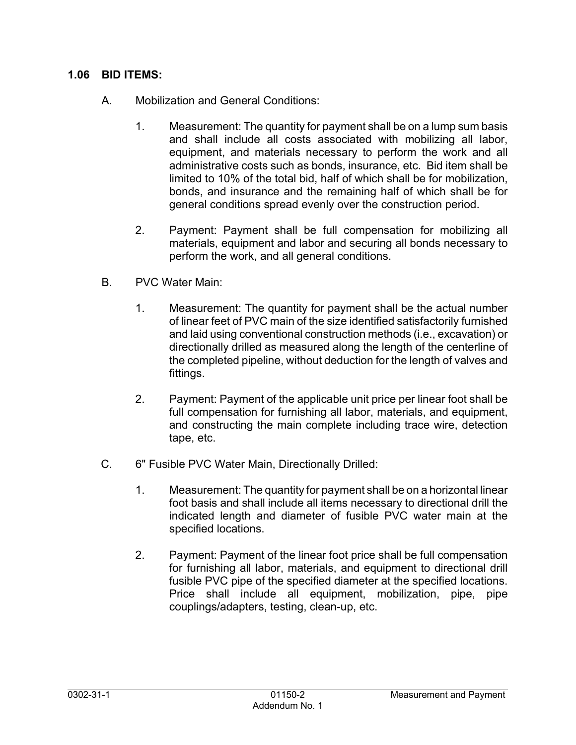### **1.06 BID ITEMS:**

- A. Mobilization and General Conditions:
	- 1. Measurement: The quantity for payment shall be on a lump sum basis and shall include all costs associated with mobilizing all labor, equipment, and materials necessary to perform the work and all administrative costs such as bonds, insurance, etc. Bid item shall be limited to 10% of the total bid, half of which shall be for mobilization, bonds, and insurance and the remaining half of which shall be for general conditions spread evenly over the construction period.
	- 2. Payment: Payment shall be full compensation for mobilizing all materials, equipment and labor and securing all bonds necessary to perform the work, and all general conditions.
- B. PVC Water Main:
	- 1. Measurement: The quantity for payment shall be the actual number of linear feet of PVC main of the size identified satisfactorily furnished and laid using conventional construction methods (i.e., excavation) or directionally drilled as measured along the length of the centerline of the completed pipeline, without deduction for the length of valves and fittings.
	- 2. Payment: Payment of the applicable unit price per linear foot shall be full compensation for furnishing all labor, materials, and equipment, and constructing the main complete including trace wire, detection tape, etc.
- C. 6" Fusible PVC Water Main, Directionally Drilled:
	- 1. Measurement: The quantity for payment shall be on a horizontal linear foot basis and shall include all items necessary to directional drill the indicated length and diameter of fusible PVC water main at the specified locations.
	- 2. Payment: Payment of the linear foot price shall be full compensation for furnishing all labor, materials, and equipment to directional drill fusible PVC pipe of the specified diameter at the specified locations. Price shall include all equipment, mobilization, pipe, pipe couplings/adapters, testing, clean-up, etc.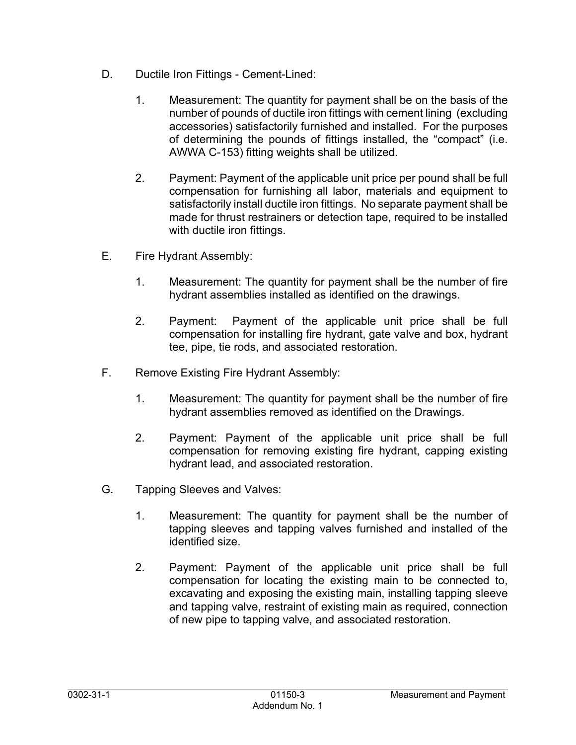- D. Ductile Iron Fittings Cement-Lined:
	- 1. Measurement: The quantity for payment shall be on the basis of the number of pounds of ductile iron fittings with cement lining (excluding accessories) satisfactorily furnished and installed. For the purposes of determining the pounds of fittings installed, the "compact" (i.e. AWWA C-153) fitting weights shall be utilized.
	- 2. Payment: Payment of the applicable unit price per pound shall be full compensation for furnishing all labor, materials and equipment to satisfactorily install ductile iron fittings. No separate payment shall be made for thrust restrainers or detection tape, required to be installed with ductile iron fittings.
- E. Fire Hydrant Assembly:
	- 1. Measurement: The quantity for payment shall be the number of fire hydrant assemblies installed as identified on the drawings.
	- 2. Payment: Payment of the applicable unit price shall be full compensation for installing fire hydrant, gate valve and box, hydrant tee, pipe, tie rods, and associated restoration.
- F. Remove Existing Fire Hydrant Assembly:
	- 1. Measurement: The quantity for payment shall be the number of fire hydrant assemblies removed as identified on the Drawings.
	- 2. Payment: Payment of the applicable unit price shall be full compensation for removing existing fire hydrant, capping existing hydrant lead, and associated restoration.
- G. Tapping Sleeves and Valves:
	- 1. Measurement: The quantity for payment shall be the number of tapping sleeves and tapping valves furnished and installed of the identified size.
	- 2. Payment: Payment of the applicable unit price shall be full compensation for locating the existing main to be connected to, excavating and exposing the existing main, installing tapping sleeve and tapping valve, restraint of existing main as required, connection of new pipe to tapping valve, and associated restoration.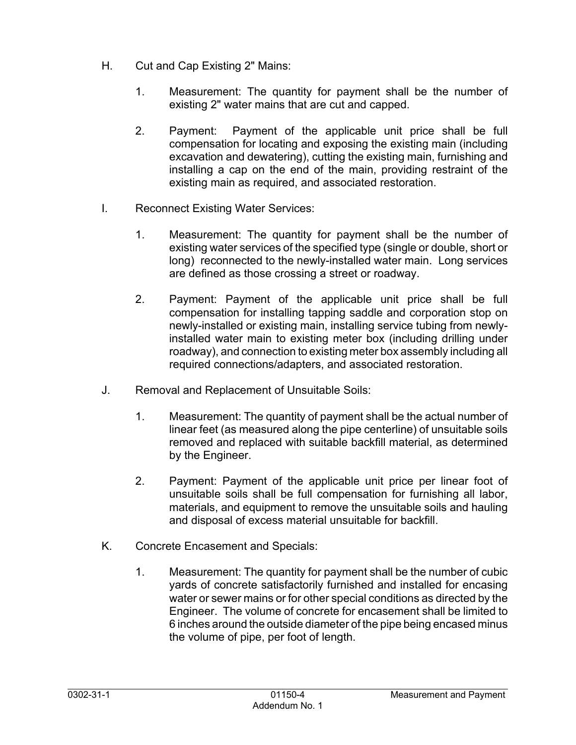- H. Cut and Cap Existing 2" Mains:
	- 1. Measurement: The quantity for payment shall be the number of existing 2" water mains that are cut and capped.
	- 2. Payment: Payment of the applicable unit price shall be full compensation for locating and exposing the existing main (including excavation and dewatering), cutting the existing main, furnishing and installing a cap on the end of the main, providing restraint of the existing main as required, and associated restoration.
- I. Reconnect Existing Water Services:
	- 1. Measurement: The quantity for payment shall be the number of existing water services of the specified type (single or double, short or long) reconnected to the newly-installed water main. Long services are defined as those crossing a street or roadway.
	- 2. Payment: Payment of the applicable unit price shall be full compensation for installing tapping saddle and corporation stop on newly-installed or existing main, installing service tubing from newlyinstalled water main to existing meter box (including drilling under roadway), and connection to existing meter box assembly including all required connections/adapters, and associated restoration.
- J. Removal and Replacement of Unsuitable Soils:
	- 1. Measurement: The quantity of payment shall be the actual number of linear feet (as measured along the pipe centerline) of unsuitable soils removed and replaced with suitable backfill material, as determined by the Engineer.
	- 2. Payment: Payment of the applicable unit price per linear foot of unsuitable soils shall be full compensation for furnishing all labor, materials, and equipment to remove the unsuitable soils and hauling and disposal of excess material unsuitable for backfill.
- K. Concrete Encasement and Specials:
	- 1. Measurement: The quantity for payment shall be the number of cubic yards of concrete satisfactorily furnished and installed for encasing water or sewer mains or for other special conditions as directed by the Engineer. The volume of concrete for encasement shall be limited to 6 inches around the outside diameter of the pipe being encased minus the volume of pipe, per foot of length.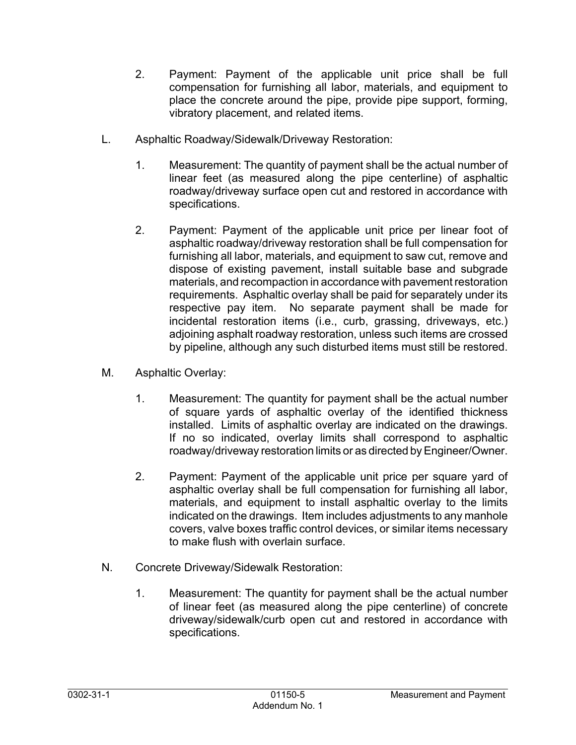- 2. Payment: Payment of the applicable unit price shall be full compensation for furnishing all labor, materials, and equipment to place the concrete around the pipe, provide pipe support, forming, vibratory placement, and related items.
- L. Asphaltic Roadway/Sidewalk/Driveway Restoration:
	- 1. Measurement: The quantity of payment shall be the actual number of linear feet (as measured along the pipe centerline) of asphaltic roadway/driveway surface open cut and restored in accordance with specifications.
	- 2. Payment: Payment of the applicable unit price per linear foot of asphaltic roadway/driveway restoration shall be full compensation for furnishing all labor, materials, and equipment to saw cut, remove and dispose of existing pavement, install suitable base and subgrade materials, and recompaction in accordance with pavement restoration requirements. Asphaltic overlay shall be paid for separately under its respective pay item. No separate payment shall be made for incidental restoration items (i.e., curb, grassing, driveways, etc.) adjoining asphalt roadway restoration, unless such items are crossed by pipeline, although any such disturbed items must still be restored.
- M. Asphaltic Overlay:
	- 1. Measurement: The quantity for payment shall be the actual number of square yards of asphaltic overlay of the identified thickness installed. Limits of asphaltic overlay are indicated on the drawings. If no so indicated, overlay limits shall correspond to asphaltic roadway/driveway restoration limits or as directed by Engineer/Owner.
	- 2. Payment: Payment of the applicable unit price per square yard of asphaltic overlay shall be full compensation for furnishing all labor, materials, and equipment to install asphaltic overlay to the limits indicated on the drawings. Item includes adjustments to any manhole covers, valve boxes traffic control devices, or similar items necessary to make flush with overlain surface.
- N. Concrete Driveway/Sidewalk Restoration:
	- 1. Measurement: The quantity for payment shall be the actual number of linear feet (as measured along the pipe centerline) of concrete driveway/sidewalk/curb open cut and restored in accordance with specifications.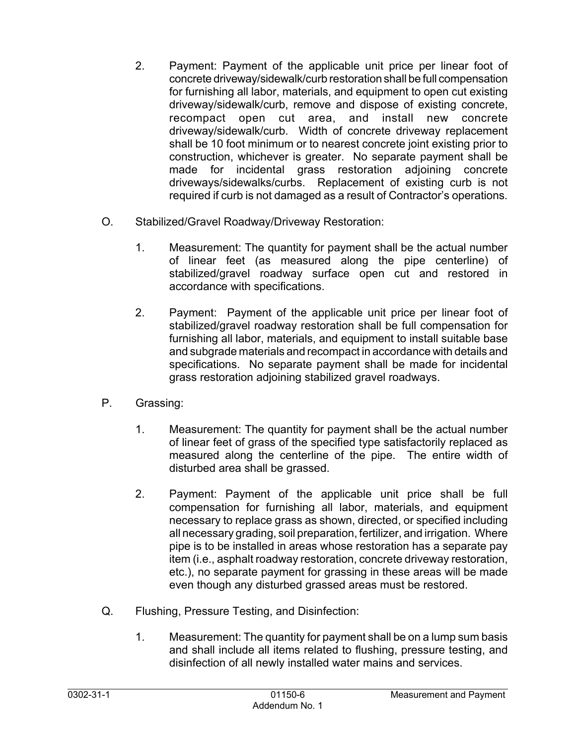- 2. Payment: Payment of the applicable unit price per linear foot of concrete driveway/sidewalk/curb restoration shall be full compensation for furnishing all labor, materials, and equipment to open cut existing driveway/sidewalk/curb, remove and dispose of existing concrete, recompact open cut area, and install new concrete driveway/sidewalk/curb. Width of concrete driveway replacement shall be 10 foot minimum or to nearest concrete joint existing prior to construction, whichever is greater. No separate payment shall be made for incidental grass restoration adjoining concrete driveways/sidewalks/curbs. Replacement of existing curb is not required if curb is not damaged as a result of Contractor's operations*.*
- O. Stabilized/Gravel Roadway/Driveway Restoration:
	- 1. Measurement: The quantity for payment shall be the actual number of linear feet (as measured along the pipe centerline) of stabilized/gravel roadway surface open cut and restored in accordance with specifications.
	- 2. Payment: Payment of the applicable unit price per linear foot of stabilized/gravel roadway restoration shall be full compensation for furnishing all labor, materials, and equipment to install suitable base and subgrade materials and recompact in accordance with details and specifications. No separate payment shall be made for incidental grass restoration adjoining stabilized gravel roadways.
- P. Grassing:
	- 1. Measurement: The quantity for payment shall be the actual number of linear feet of grass of the specified type satisfactorily replaced as measured along the centerline of the pipe. The entire width of disturbed area shall be grassed.
	- 2. Payment: Payment of the applicable unit price shall be full compensation for furnishing all labor, materials, and equipment necessary to replace grass as shown, directed, or specified including all necessary grading, soil preparation, fertilizer, and irrigation. Where pipe is to be installed in areas whose restoration has a separate pay item (i.e., asphalt roadway restoration, concrete driveway restoration, etc.), no separate payment for grassing in these areas will be made even though any disturbed grassed areas must be restored.
- Q. Flushing, Pressure Testing, and Disinfection:
	- 1. Measurement: The quantity for payment shall be on a lump sum basis and shall include all items related to flushing, pressure testing, and disinfection of all newly installed water mains and services.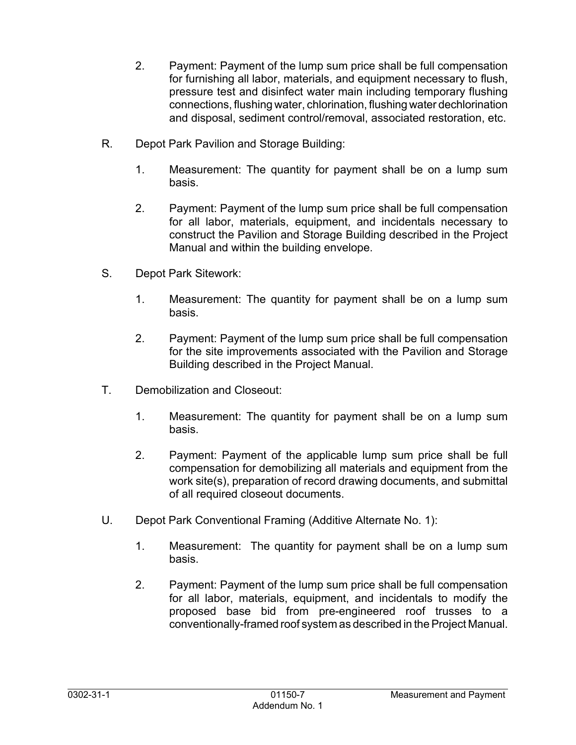- 2. Payment: Payment of the lump sum price shall be full compensation for furnishing all labor, materials, and equipment necessary to flush, pressure test and disinfect water main including temporary flushing connections, flushing water, chlorination, flushing water dechlorination and disposal, sediment control/removal, associated restoration, etc.
- R. Depot Park Pavilion and Storage Building:
	- 1. Measurement: The quantity for payment shall be on a lump sum basis.
	- 2. Payment: Payment of the lump sum price shall be full compensation for all labor, materials, equipment, and incidentals necessary to construct the Pavilion and Storage Building described in the Project Manual and within the building envelope.
- S. Depot Park Sitework:
	- 1. Measurement: The quantity for payment shall be on a lump sum basis.
	- 2. Payment: Payment of the lump sum price shall be full compensation for the site improvements associated with the Pavilion and Storage Building described in the Project Manual.
- T. Demobilization and Closeout:
	- 1. Measurement: The quantity for payment shall be on a lump sum basis.
	- 2. Payment: Payment of the applicable lump sum price shall be full compensation for demobilizing all materials and equipment from the work site(s), preparation of record drawing documents, and submittal of all required closeout documents.
- U. Depot Park Conventional Framing (Additive Alternate No. 1):
	- 1. Measurement: The quantity for payment shall be on a lump sum basis.
	- 2. Payment: Payment of the lump sum price shall be full compensation for all labor, materials, equipment, and incidentals to modify the proposed base bid from pre-engineered roof trusses to a conventionally-framed roof system as described in the Project Manual.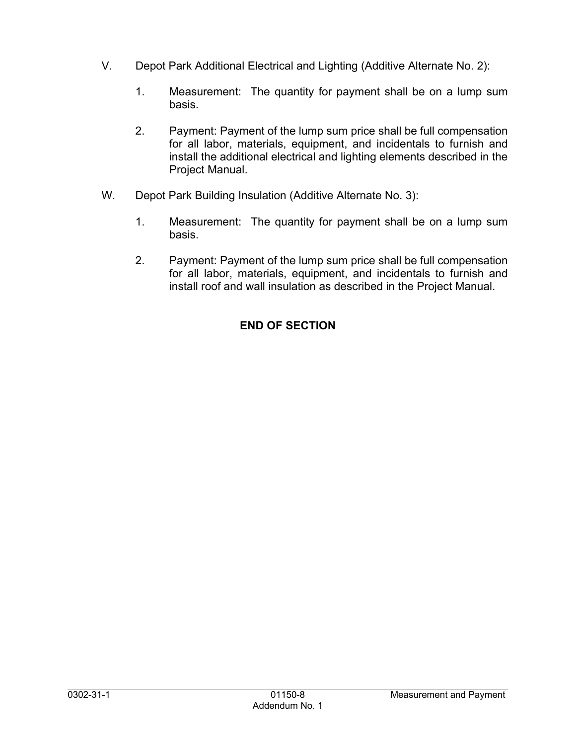- V. Depot Park Additional Electrical and Lighting (Additive Alternate No. 2):
	- 1. Measurement: The quantity for payment shall be on a lump sum basis.
	- 2. Payment: Payment of the lump sum price shall be full compensation for all labor, materials, equipment, and incidentals to furnish and install the additional electrical and lighting elements described in the Project Manual.
- W. Depot Park Building Insulation (Additive Alternate No. 3):
	- 1. Measurement: The quantity for payment shall be on a lump sum basis.
	- 2. Payment: Payment of the lump sum price shall be full compensation for all labor, materials, equipment, and incidentals to furnish and install roof and wall insulation as described in the Project Manual.

# **END OF SECTION**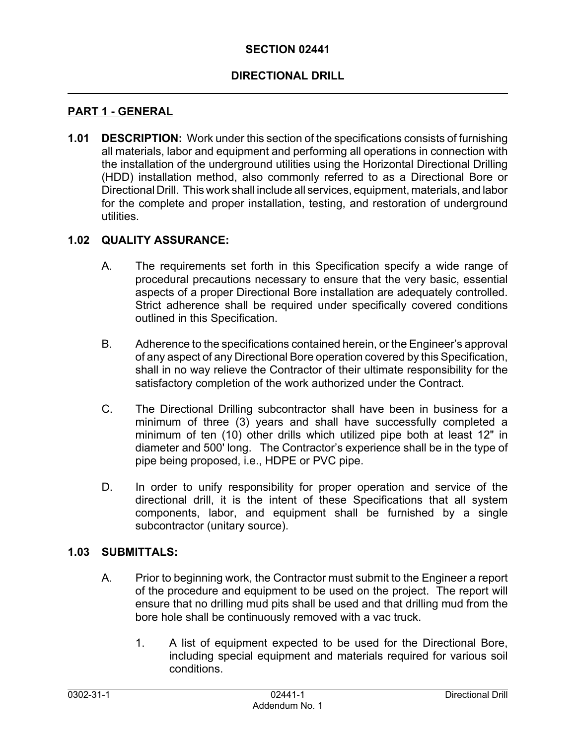#### **SECTION 02441**

### **DIRECTIONAL DRILL**

#### **PART 1 - GENERAL**

**1.01 DESCRIPTION:** Work under this section of the specifications consists of furnishing all materials, labor and equipment and performing all operations in connection with the installation of the underground utilities using the Horizontal Directional Drilling (HDD) installation method, also commonly referred to as a Directional Bore or Directional Drill. This work shall include all services, equipment, materials, and labor for the complete and proper installation, testing, and restoration of underground utilities.

#### **1.02 QUALITY ASSURANCE:**

- A. The requirements set forth in this Specification specify a wide range of procedural precautions necessary to ensure that the very basic, essential aspects of a proper Directional Bore installation are adequately controlled. Strict adherence shall be required under specifically covered conditions outlined in this Specification.
- B. Adherence to the specifications contained herein, or the Engineer's approval of any aspect of any Directional Bore operation covered by this Specification, shall in no way relieve the Contractor of their ultimate responsibility for the satisfactory completion of the work authorized under the Contract.
- C. The Directional Drilling subcontractor shall have been in business for a minimum of three (3) years and shall have successfully completed a minimum of ten (10) other drills which utilized pipe both at least 12" in diameter and 500' long. The Contractor's experience shall be in the type of pipe being proposed, i.e., HDPE or PVC pipe.
- D. In order to unify responsibility for proper operation and service of the directional drill, it is the intent of these Specifications that all system components, labor, and equipment shall be furnished by a single subcontractor (unitary source).

#### **1.03 SUBMITTALS:**

- A. Prior to beginning work, the Contractor must submit to the Engineer a report of the procedure and equipment to be used on the project. The report will ensure that no drilling mud pits shall be used and that drilling mud from the bore hole shall be continuously removed with a vac truck.
	- 1. A list of equipment expected to be used for the Directional Bore, including special equipment and materials required for various soil conditions.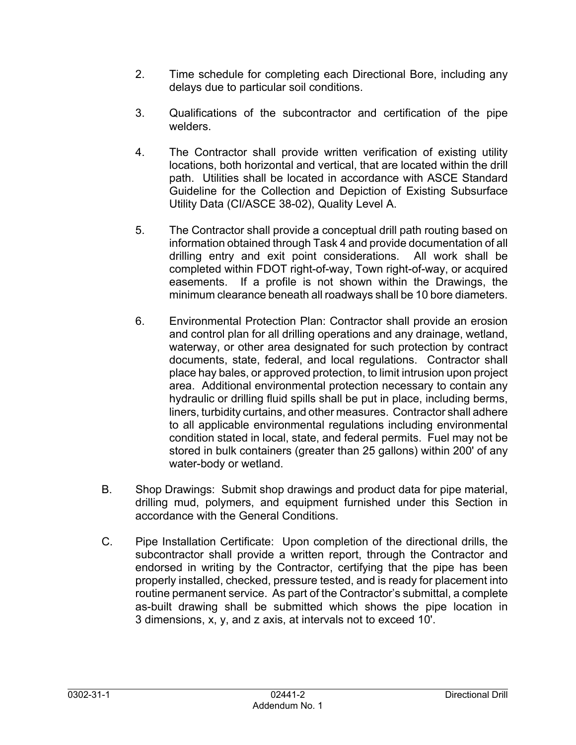- 2. Time schedule for completing each Directional Bore, including any delays due to particular soil conditions.
- 3. Qualifications of the subcontractor and certification of the pipe welders.
- 4. The Contractor shall provide written verification of existing utility locations, both horizontal and vertical, that are located within the drill path. Utilities shall be located in accordance with ASCE Standard Guideline for the Collection and Depiction of Existing Subsurface Utility Data (CI/ASCE 38-02), Quality Level A.
- 5. The Contractor shall provide a conceptual drill path routing based on information obtained through Task 4 and provide documentation of all drilling entry and exit point considerations. All work shall be completed within FDOT right-of-way, Town right-of-way, or acquired easements. If a profile is not shown within the Drawings, the minimum clearance beneath all roadways shall be 10 bore diameters.
- 6. Environmental Protection Plan: Contractor shall provide an erosion and control plan for all drilling operations and any drainage, wetland, waterway, or other area designated for such protection by contract documents, state, federal, and local regulations. Contractor shall place hay bales, or approved protection, to limit intrusion upon project area. Additional environmental protection necessary to contain any hydraulic or drilling fluid spills shall be put in place, including berms, liners, turbidity curtains, and other measures. Contractor shall adhere to all applicable environmental regulations including environmental condition stated in local, state, and federal permits. Fuel may not be stored in bulk containers (greater than 25 gallons) within 200' of any water-body or wetland.
- B. Shop Drawings: Submit shop drawings and product data for pipe material, drilling mud, polymers, and equipment furnished under this Section in accordance with the General Conditions.
- C. Pipe Installation Certificate: Upon completion of the directional drills, the subcontractor shall provide a written report, through the Contractor and endorsed in writing by the Contractor, certifying that the pipe has been properly installed, checked, pressure tested, and is ready for placement into routine permanent service. As part of the Contractor's submittal, a complete as-built drawing shall be submitted which shows the pipe location in 3 dimensions, x, y, and z axis, at intervals not to exceed 10'.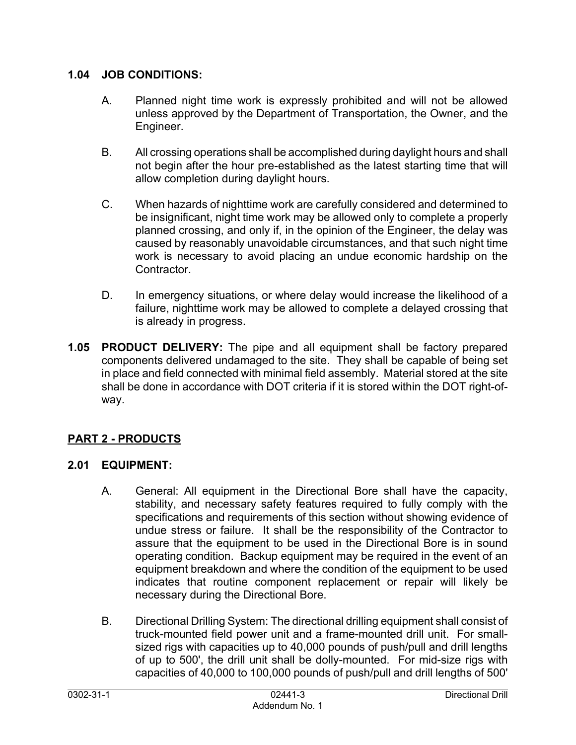### **1.04 JOB CONDITIONS:**

- A. Planned night time work is expressly prohibited and will not be allowed unless approved by the Department of Transportation, the Owner, and the Engineer.
- B. All crossing operations shall be accomplished during daylight hours and shall not begin after the hour pre-established as the latest starting time that will allow completion during daylight hours.
- C. When hazards of nighttime work are carefully considered and determined to be insignificant, night time work may be allowed only to complete a properly planned crossing, and only if, in the opinion of the Engineer, the delay was caused by reasonably unavoidable circumstances, and that such night time work is necessary to avoid placing an undue economic hardship on the **Contractor**
- D. In emergency situations, or where delay would increase the likelihood of a failure, nighttime work may be allowed to complete a delayed crossing that is already in progress.
- **1.05 PRODUCT DELIVERY:** The pipe and all equipment shall be factory prepared components delivered undamaged to the site. They shall be capable of being set in place and field connected with minimal field assembly. Material stored at the site shall be done in accordance with DOT criteria if it is stored within the DOT right-ofway.

# **PART 2 - PRODUCTS**

# **2.01 EQUIPMENT:**

- A. General: All equipment in the Directional Bore shall have the capacity, stability, and necessary safety features required to fully comply with the specifications and requirements of this section without showing evidence of undue stress or failure. It shall be the responsibility of the Contractor to assure that the equipment to be used in the Directional Bore is in sound operating condition. Backup equipment may be required in the event of an equipment breakdown and where the condition of the equipment to be used indicates that routine component replacement or repair will likely be necessary during the Directional Bore.
- B. Directional Drilling System: The directional drilling equipment shall consist of truck-mounted field power unit and a frame-mounted drill unit. For smallsized rigs with capacities up to 40,000 pounds of push/pull and drill lengths of up to 500', the drill unit shall be dolly-mounted. For mid-size rigs with capacities of 40,000 to 100,000 pounds of push/pull and drill lengths of 500'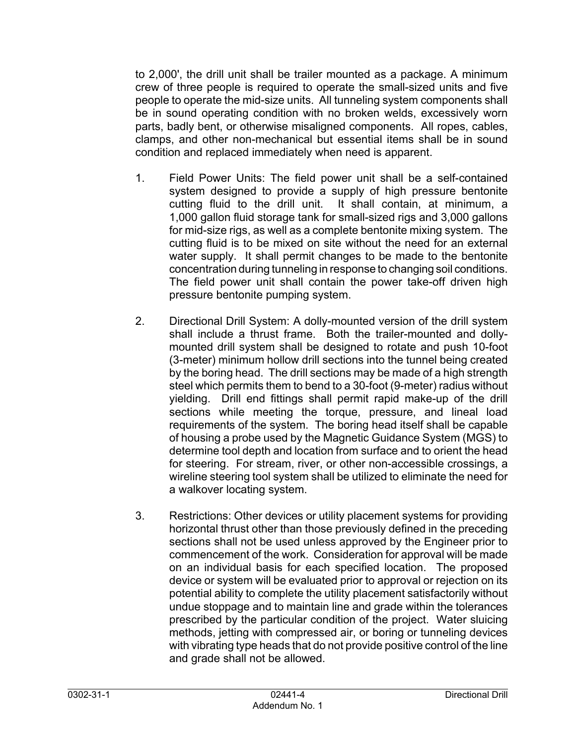to 2,000', the drill unit shall be trailer mounted as a package. A minimum crew of three people is required to operate the small-sized units and five people to operate the mid-size units. All tunneling system components shall be in sound operating condition with no broken welds, excessively worn parts, badly bent, or otherwise misaligned components. All ropes, cables, clamps, and other non-mechanical but essential items shall be in sound condition and replaced immediately when need is apparent.

- 1. Field Power Units: The field power unit shall be a self-contained system designed to provide a supply of high pressure bentonite cutting fluid to the drill unit. It shall contain, at minimum, a 1,000 gallon fluid storage tank for small-sized rigs and 3,000 gallons for mid-size rigs, as well as a complete bentonite mixing system. The cutting fluid is to be mixed on site without the need for an external water supply. It shall permit changes to be made to the bentonite concentration during tunneling in response to changing soil conditions. The field power unit shall contain the power take-off driven high pressure bentonite pumping system.
- 2. Directional Drill System: A dolly-mounted version of the drill system shall include a thrust frame. Both the trailer-mounted and dollymounted drill system shall be designed to rotate and push 10-foot (3-meter) minimum hollow drill sections into the tunnel being created by the boring head. The drill sections may be made of a high strength steel which permits them to bend to a 30-foot (9-meter) radius without yielding. Drill end fittings shall permit rapid make-up of the drill sections while meeting the torque, pressure, and lineal load requirements of the system. The boring head itself shall be capable of housing a probe used by the Magnetic Guidance System (MGS) to determine tool depth and location from surface and to orient the head for steering. For stream, river, or other non-accessible crossings, a wireline steering tool system shall be utilized to eliminate the need for a walkover locating system.
- 3. Restrictions: Other devices or utility placement systems for providing horizontal thrust other than those previously defined in the preceding sections shall not be used unless approved by the Engineer prior to commencement of the work. Consideration for approval will be made on an individual basis for each specified location. The proposed device or system will be evaluated prior to approval or rejection on its potential ability to complete the utility placement satisfactorily without undue stoppage and to maintain line and grade within the tolerances prescribed by the particular condition of the project. Water sluicing methods, jetting with compressed air, or boring or tunneling devices with vibrating type heads that do not provide positive control of the line and grade shall not be allowed.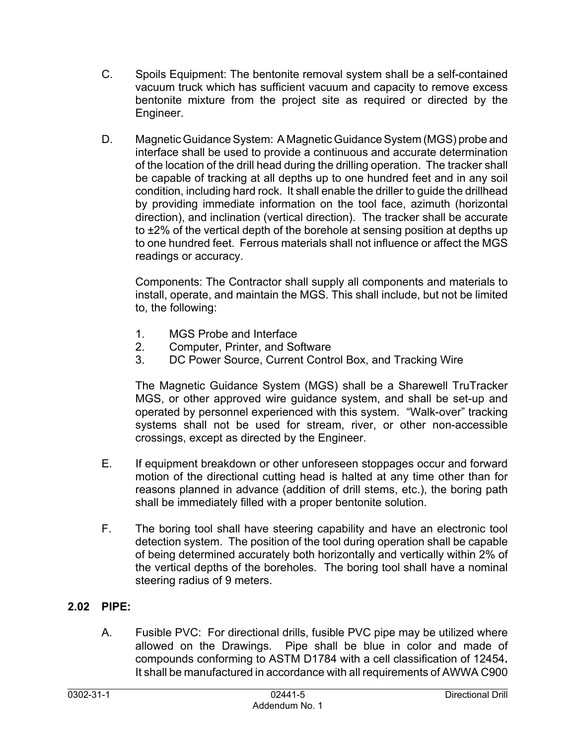- C. Spoils Equipment: The bentonite removal system shall be a self-contained vacuum truck which has sufficient vacuum and capacity to remove excess bentonite mixture from the project site as required or directed by the Engineer.
- D. Magnetic Guidance System: A Magnetic Guidance System (MGS) probe and interface shall be used to provide a continuous and accurate determination of the location of the drill head during the drilling operation. The tracker shall be capable of tracking at all depths up to one hundred feet and in any soil condition, including hard rock. It shall enable the driller to guide the drillhead by providing immediate information on the tool face, azimuth (horizontal direction), and inclination (vertical direction). The tracker shall be accurate to ±2% of the vertical depth of the borehole at sensing position at depths up to one hundred feet. Ferrous materials shall not influence or affect the MGS readings or accuracy.

Components: The Contractor shall supply all components and materials to install, operate, and maintain the MGS. This shall include, but not be limited to, the following:

- 1. MGS Probe and Interface
- 2. Computer, Printer, and Software
- 3. DC Power Source, Current Control Box, and Tracking Wire

The Magnetic Guidance System (MGS) shall be a Sharewell TruTracker MGS, or other approved wire guidance system, and shall be set-up and operated by personnel experienced with this system. "Walk-over" tracking systems shall not be used for stream, river, or other non-accessible crossings, except as directed by the Engineer.

- E. If equipment breakdown or other unforeseen stoppages occur and forward motion of the directional cutting head is halted at any time other than for reasons planned in advance (addition of drill stems, etc.), the boring path shall be immediately filled with a proper bentonite solution.
- F. The boring tool shall have steering capability and have an electronic tool detection system. The position of the tool during operation shall be capable of being determined accurately both horizontally and vertically within 2% of the vertical depths of the boreholes. The boring tool shall have a nominal steering radius of 9 meters.

# **2.02 PIPE:**

A. Fusible PVC: For directional drills, fusible PVC pipe may be utilized where allowed on the Drawings. Pipe shall be blue in color and made of compounds conforming to ASTM D1784 with a cell classification of 12454**.**  It shall be manufactured in accordance with all requirements of AWWA C900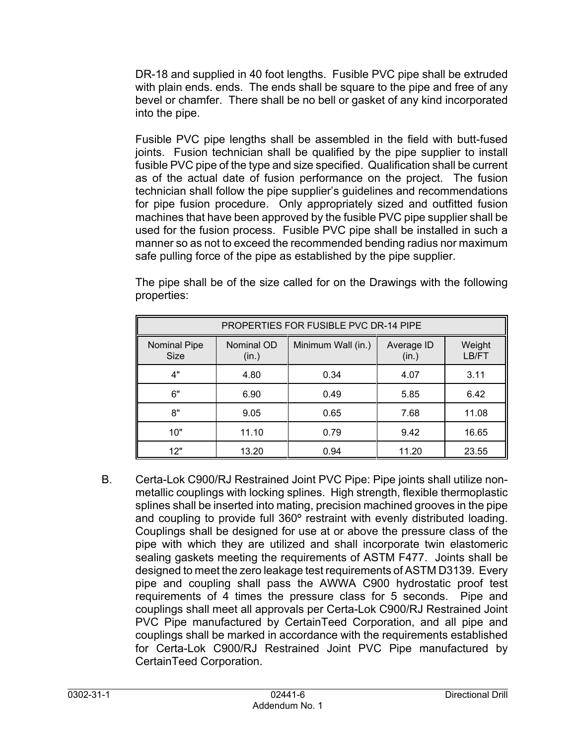DR-18 and supplied in 40 foot lengths. Fusible PVC pipe shall be extruded with plain ends. ends. The ends shall be square to the pipe and free of any bevel or chamfer. There shall be no bell or gasket of any kind incorporated into the pipe.

Fusible PVC pipe lengths shall be assembled in the field with butt-fused joints. Fusion technician shall be qualified by the pipe supplier to install fusible PVC pipe of the type and size specified. Qualification shall be current as of the actual date of fusion performance on the project. The fusion technician shall follow the pipe supplier's guidelines and recommendations for pipe fusion procedure. Only appropriately sized and outfitted fusion machines that have been approved by the fusible PVC pipe supplier shall be used for the fusion process. Fusible PVC pipe shall be installed in such a manner so as not to exceed the recommended bending radius nor maximum safe pulling force of the pipe as established by the pipe supplier.

| <b>PROPERTIES FOR FUSIBLE PVC DR-14 PIPE</b> |                     |                    |                     |                 |
|----------------------------------------------|---------------------|--------------------|---------------------|-----------------|
| <b>Nominal Pipe</b><br><b>Size</b>           | Nominal OD<br>(in.) | Minimum Wall (in.) | Average ID<br>(in.) | Weight<br>LB/FT |
| 4"                                           | 4.80                | 0.34               | 4.07                | 3.11            |
| 6"                                           | 6.90                | 0.49               | 5.85                | 6.42            |
| 8"                                           | 9.05                | 0.65               | 7.68                | 11.08           |
| 10"                                          | 11.10               | 0.79               | 9.42                | 16.65           |
| 12"                                          | 13.20               | 0.94               | 11.20               | 23.55           |

The pipe shall be of the size called for on the Drawings with the following properties:

B. Certa-Lok C900/RJ Restrained Joint PVC Pipe: Pipe joints shall utilize nonmetallic couplings with locking splines. High strength, flexible thermoplastic splines shall be inserted into mating, precision machined grooves in the pipe and coupling to provide full 360º restraint with evenly distributed loading. Couplings shall be designed for use at or above the pressure class of the pipe with which they are utilized and shall incorporate twin elastomeric sealing gaskets meeting the requirements of ASTM F477. Joints shall be designed to meet the zero leakage test requirements of ASTM D3139. Every pipe and coupling shall pass the AWWA C900 hydrostatic proof test requirements of 4 times the pressure class for 5 seconds. Pipe and couplings shall meet all approvals per Certa-Lok C900/RJ Restrained Joint PVC Pipe manufactured by CertainTeed Corporation, and all pipe and couplings shall be marked in accordance with the requirements established for Certa-Lok C900/RJ Restrained Joint PVC Pipe manufactured by CertainTeed Corporation.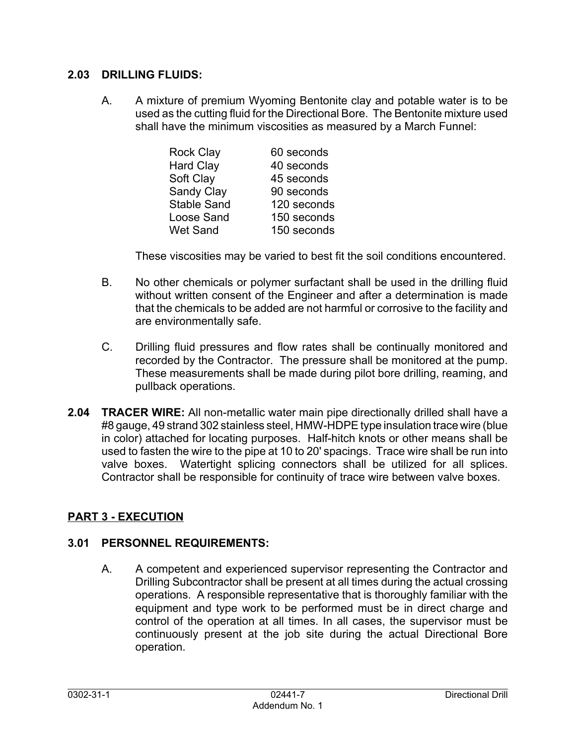#### **2.03 DRILLING FLUIDS:**

A. A mixture of premium Wyoming Bentonite clay and potable water is to be used as the cutting fluid for the Directional Bore. The Bentonite mixture used shall have the minimum viscosities as measured by a March Funnel:

| <b>Rock Clay</b>   | 60 seconds  |
|--------------------|-------------|
| <b>Hard Clay</b>   | 40 seconds  |
| Soft Clay          | 45 seconds  |
| <b>Sandy Clay</b>  | 90 seconds  |
| <b>Stable Sand</b> | 120 seconds |
| Loose Sand         | 150 seconds |
| <b>Wet Sand</b>    | 150 seconds |
|                    |             |

These viscosities may be varied to best fit the soil conditions encountered.

- B. No other chemicals or polymer surfactant shall be used in the drilling fluid without written consent of the Engineer and after a determination is made that the chemicals to be added are not harmful or corrosive to the facility and are environmentally safe.
- C. Drilling fluid pressures and flow rates shall be continually monitored and recorded by the Contractor. The pressure shall be monitored at the pump. These measurements shall be made during pilot bore drilling, reaming, and pullback operations.
- **2.04 TRACER WIRE:** All non-metallic water main pipe directionally drilled shall have a #8 gauge, 49 strand 302 stainless steel, HMW-HDPE type insulation trace wire (blue in color) attached for locating purposes. Half-hitch knots or other means shall be used to fasten the wire to the pipe at 10 to 20' spacings. Trace wire shall be run into valve boxes. Watertight splicing connectors shall be utilized for all splices. Contractor shall be responsible for continuity of trace wire between valve boxes.

# **PART 3 - EXECUTION**

### **3.01 PERSONNEL REQUIREMENTS:**

A. A competent and experienced supervisor representing the Contractor and Drilling Subcontractor shall be present at all times during the actual crossing operations. A responsible representative that is thoroughly familiar with the equipment and type work to be performed must be in direct charge and control of the operation at all times. In all cases, the supervisor must be continuously present at the job site during the actual Directional Bore operation.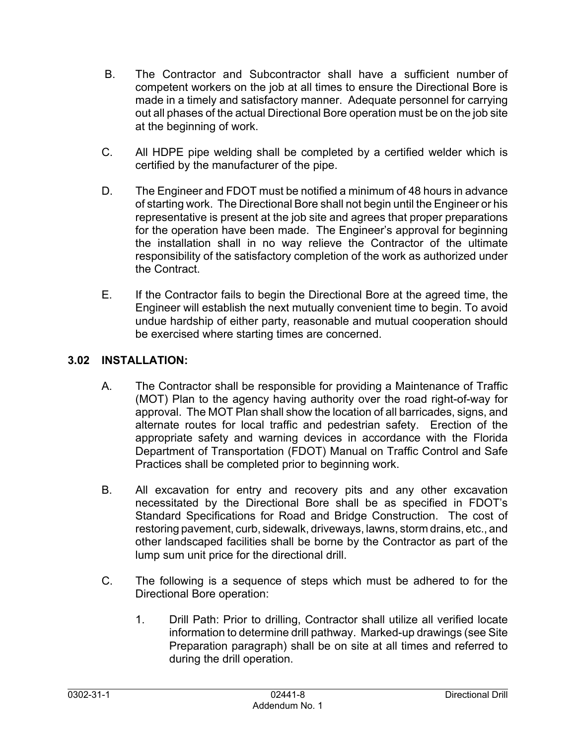- B. The Contractor and Subcontractor shall have a sufficient number of competent workers on the job at all times to ensure the Directional Bore is made in a timely and satisfactory manner. Adequate personnel for carrying out all phases of the actual Directional Bore operation must be on the job site at the beginning of work.
- C. All HDPE pipe welding shall be completed by a certified welder which is certified by the manufacturer of the pipe.
- D. The Engineer and FDOT must be notified a minimum of 48 hours in advance of starting work. The Directional Bore shall not begin until the Engineer or his representative is present at the job site and agrees that proper preparations for the operation have been made. The Engineer's approval for beginning the installation shall in no way relieve the Contractor of the ultimate responsibility of the satisfactory completion of the work as authorized under the Contract.
- E. If the Contractor fails to begin the Directional Bore at the agreed time, the Engineer will establish the next mutually convenient time to begin. To avoid undue hardship of either party, reasonable and mutual cooperation should be exercised where starting times are concerned.

# **3.02 INSTALLATION:**

- A. The Contractor shall be responsible for providing a Maintenance of Traffic (MOT) Plan to the agency having authority over the road right-of-way for approval. The MOT Plan shall show the location of all barricades, signs, and alternate routes for local traffic and pedestrian safety. Erection of the appropriate safety and warning devices in accordance with the Florida Department of Transportation (FDOT) Manual on Traffic Control and Safe Practices shall be completed prior to beginning work.
- B. All excavation for entry and recovery pits and any other excavation necessitated by the Directional Bore shall be as specified in FDOT's Standard Specifications for Road and Bridge Construction. The cost of restoring pavement, curb, sidewalk, driveways, lawns, storm drains, etc., and other landscaped facilities shall be borne by the Contractor as part of the lump sum unit price for the directional drill.
- C. The following is a sequence of steps which must be adhered to for the Directional Bore operation:
	- 1. Drill Path: Prior to drilling, Contractor shall utilize all verified locate information to determine drill pathway. Marked-up drawings (see Site Preparation paragraph) shall be on site at all times and referred to during the drill operation.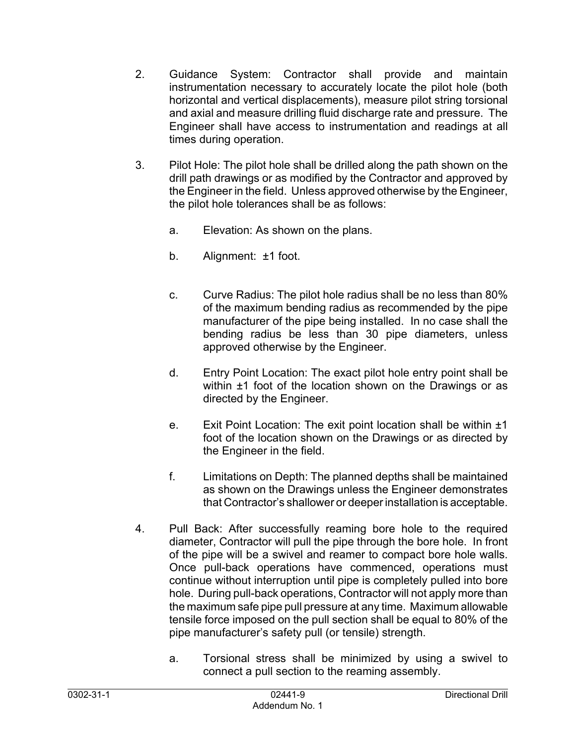- 2. Guidance System: Contractor shall provide and maintain instrumentation necessary to accurately locate the pilot hole (both horizontal and vertical displacements), measure pilot string torsional and axial and measure drilling fluid discharge rate and pressure. The Engineer shall have access to instrumentation and readings at all times during operation.
- 3. Pilot Hole: The pilot hole shall be drilled along the path shown on the drill path drawings or as modified by the Contractor and approved by the Engineer in the field. Unless approved otherwise by the Engineer, the pilot hole tolerances shall be as follows:
	- a. Elevation: As shown on the plans.
	- b. Alignment: ±1 foot.
	- c. Curve Radius: The pilot hole radius shall be no less than 80% of the maximum bending radius as recommended by the pipe manufacturer of the pipe being installed. In no case shall the bending radius be less than 30 pipe diameters, unless approved otherwise by the Engineer.
	- d. Entry Point Location: The exact pilot hole entry point shall be within  $\pm 1$  foot of the location shown on the Drawings or as directed by the Engineer.
	- e. Exit Point Location: The exit point location shall be within ±1 foot of the location shown on the Drawings or as directed by the Engineer in the field.
	- f. Limitations on Depth: The planned depths shall be maintained as shown on the Drawings unless the Engineer demonstrates that Contractor's shallower or deeper installation is acceptable.
- 4. Pull Back: After successfully reaming bore hole to the required diameter, Contractor will pull the pipe through the bore hole. In front of the pipe will be a swivel and reamer to compact bore hole walls. Once pull-back operations have commenced, operations must continue without interruption until pipe is completely pulled into bore hole. During pull-back operations, Contractor will not apply more than the maximum safe pipe pull pressure at any time. Maximum allowable tensile force imposed on the pull section shall be equal to 80% of the pipe manufacturer's safety pull (or tensile) strength.
	- a. Torsional stress shall be minimized by using a swivel to connect a pull section to the reaming assembly.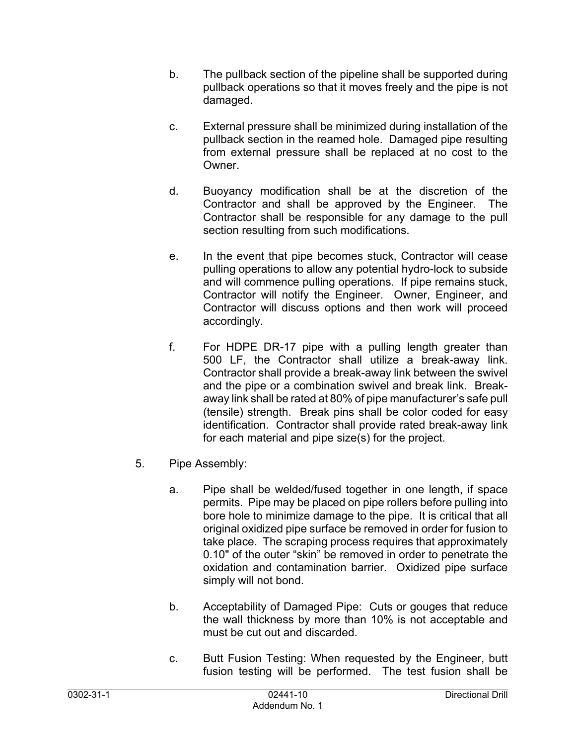- b. The pullback section of the pipeline shall be supported during pullback operations so that it moves freely and the pipe is not damaged.
- c. External pressure shall be minimized during installation of the pullback section in the reamed hole. Damaged pipe resulting from external pressure shall be replaced at no cost to the Owner.
- d. Buoyancy modification shall be at the discretion of the Contractor and shall be approved by the Engineer. The Contractor shall be responsible for any damage to the pull section resulting from such modifications.
- e. In the event that pipe becomes stuck, Contractor will cease pulling operations to allow any potential hydro-lock to subside and will commence pulling operations. If pipe remains stuck, Contractor will notify the Engineer. Owner, Engineer, and Contractor will discuss options and then work will proceed accordingly.
- f. For HDPE DR-17 pipe with a pulling length greater than 500 LF, the Contractor shall utilize a break-away link. Contractor shall provide a break-away link between the swivel and the pipe or a combination swivel and break link. Breakaway link shall be rated at 80% of pipe manufacturer's safe pull (tensile) strength. Break pins shall be color coded for easy identification. Contractor shall provide rated break-away link for each material and pipe size(s) for the project.
- 5. Pipe Assembly:
	- a. Pipe shall be welded/fused together in one length, if space permits. Pipe may be placed on pipe rollers before pulling into bore hole to minimize damage to the pipe. It is critical that all original oxidized pipe surface be removed in order for fusion to take place. The scraping process requires that approximately 0.10" of the outer "skin" be removed in order to penetrate the oxidation and contamination barrier. Oxidized pipe surface simply will not bond.
	- b. Acceptability of Damaged Pipe: Cuts or gouges that reduce the wall thickness by more than 10% is not acceptable and must be cut out and discarded.
	- c. Butt Fusion Testing: When requested by the Engineer, butt fusion testing will be performed. The test fusion shall be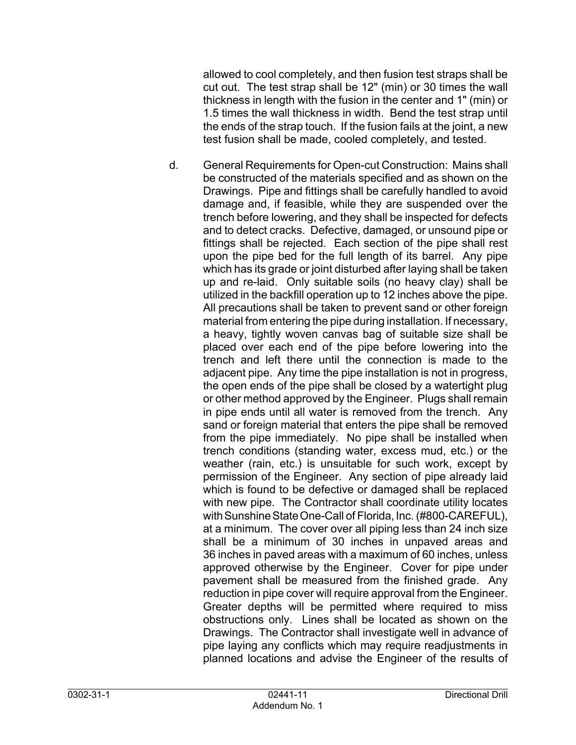allowed to cool completely, and then fusion test straps shall be cut out. The test strap shall be 12" (min) or 30 times the wall thickness in length with the fusion in the center and 1" (min) or 1.5 times the wall thickness in width. Bend the test strap until the ends of the strap touch. If the fusion fails at the joint, a new test fusion shall be made, cooled completely, and tested.

d. General Requirements for Open-cut Construction: Mains shall be constructed of the materials specified and as shown on the Drawings. Pipe and fittings shall be carefully handled to avoid damage and, if feasible, while they are suspended over the trench before lowering, and they shall be inspected for defects and to detect cracks. Defective, damaged, or unsound pipe or fittings shall be rejected. Each section of the pipe shall rest upon the pipe bed for the full length of its barrel. Any pipe which has its grade or joint disturbed after laying shall be taken up and re-laid. Only suitable soils (no heavy clay) shall be utilized in the backfill operation up to 12 inches above the pipe. All precautions shall be taken to prevent sand or other foreign material from entering the pipe during installation. If necessary, a heavy, tightly woven canvas bag of suitable size shall be placed over each end of the pipe before lowering into the trench and left there until the connection is made to the adjacent pipe. Any time the pipe installation is not in progress, the open ends of the pipe shall be closed by a watertight plug or other method approved by the Engineer. Plugs shall remain in pipe ends until all water is removed from the trench. Any sand or foreign material that enters the pipe shall be removed from the pipe immediately. No pipe shall be installed when trench conditions (standing water, excess mud, etc.) or the weather (rain, etc.) is unsuitable for such work, except by permission of the Engineer. Any section of pipe already laid which is found to be defective or damaged shall be replaced with new pipe. The Contractor shall coordinate utility locates with Sunshine State One-Call of Florida, Inc. (#800-CAREFUL), at a minimum. The cover over all piping less than 24 inch size shall be a minimum of 30 inches in unpaved areas and 36 inches in paved areas with a maximum of 60 inches, unless approved otherwise by the Engineer. Cover for pipe under pavement shall be measured from the finished grade. Any reduction in pipe cover will require approval from the Engineer. Greater depths will be permitted where required to miss obstructions only. Lines shall be located as shown on the Drawings. The Contractor shall investigate well in advance of pipe laying any conflicts which may require readjustments in planned locations and advise the Engineer of the results of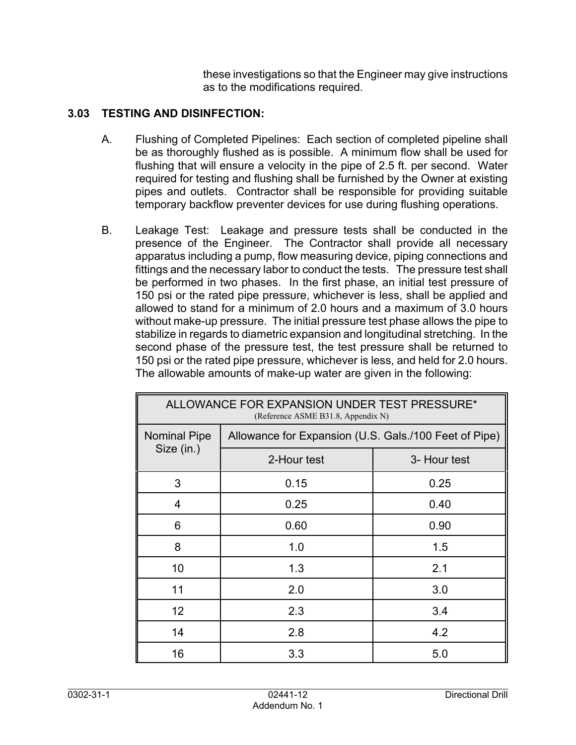these investigations so that the Engineer may give instructions as to the modifications required.

### **3.03 TESTING AND DISINFECTION:**

- A. Flushing of Completed Pipelines: Each section of completed pipeline shall be as thoroughly flushed as is possible. A minimum flow shall be used for flushing that will ensure a velocity in the pipe of 2.5 ft. per second. Water required for testing and flushing shall be furnished by the Owner at existing pipes and outlets. Contractor shall be responsible for providing suitable temporary backflow preventer devices for use during flushing operations.
- B. Leakage Test: Leakage and pressure tests shall be conducted in the presence of the Engineer. The Contractor shall provide all necessary apparatus including a pump, flow measuring device, piping connections and fittings and the necessary labor to conduct the tests. The pressure test shall be performed in two phases. In the first phase, an initial test pressure of 150 psi or the rated pipe pressure, whichever is less, shall be applied and allowed to stand for a minimum of 2.0 hours and a maximum of 3.0 hours without make-up pressure. The initial pressure test phase allows the pipe to stabilize in regards to diametric expansion and longitudinal stretching. In the second phase of the pressure test, the test pressure shall be returned to 150 psi or the rated pipe pressure, whichever is less, and held for 2.0 hours. The allowable amounts of make-up water are given in the following:

| ALLOWANCE FOR EXPANSION UNDER TEST PRESSURE*<br>(Reference ASME B31.8, Appendix N) |                                                       |              |  |
|------------------------------------------------------------------------------------|-------------------------------------------------------|--------------|--|
| <b>Nominal Pipe</b>                                                                | Allowance for Expansion (U.S. Gals./100 Feet of Pipe) |              |  |
| Size (in.)                                                                         | 2-Hour test                                           | 3- Hour test |  |
| 3                                                                                  | 0.15                                                  | 0.25         |  |
| 4                                                                                  | 0.25                                                  | 0.40         |  |
| 6                                                                                  | 0.60                                                  | 0.90         |  |
| 8                                                                                  | 1.0                                                   | 1.5          |  |
| 10                                                                                 | 1.3                                                   | 2.1          |  |
| 11                                                                                 | 2.0                                                   | 3.0          |  |
| 12                                                                                 | 2.3                                                   | 3.4          |  |
| 14                                                                                 | 2.8                                                   | 4.2          |  |
| 16                                                                                 | 3.3                                                   | 5.0          |  |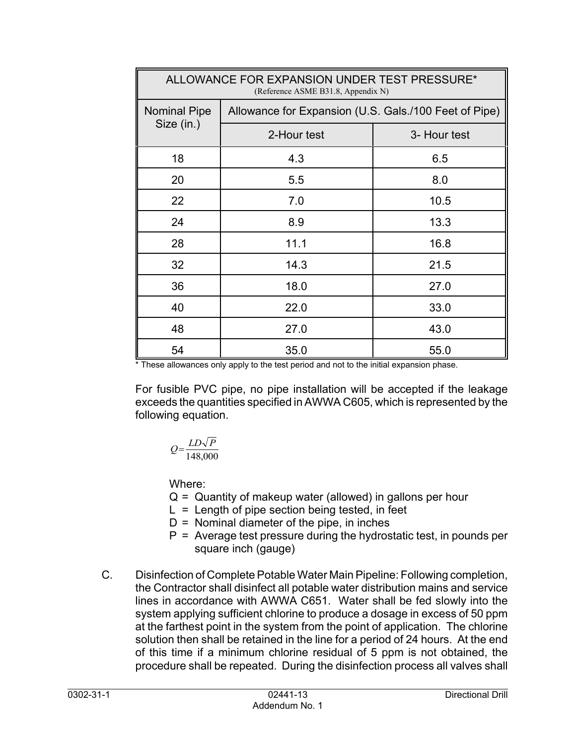| ALLOWANCE FOR EXPANSION UNDER TEST PRESSURE*<br>(Reference ASME B31.8, Appendix N) |                                                       |              |  |
|------------------------------------------------------------------------------------|-------------------------------------------------------|--------------|--|
| <b>Nominal Pipe</b>                                                                | Allowance for Expansion (U.S. Gals./100 Feet of Pipe) |              |  |
| Size (in.)                                                                         | 2-Hour test                                           | 3- Hour test |  |
| 18                                                                                 | 4.3                                                   | 6.5          |  |
| 20                                                                                 | 5.5                                                   | 8.0          |  |
| 22                                                                                 | 7.0                                                   | 10.5         |  |
| 24                                                                                 | 8.9                                                   | 13.3         |  |
| 28                                                                                 | 11.1                                                  | 16.8         |  |
| 32                                                                                 | 14.3                                                  | 21.5         |  |
| 36                                                                                 | 18.0                                                  | 27.0         |  |
| 40                                                                                 | 22.0                                                  | 33.0         |  |
| 48                                                                                 | 27.0                                                  | 43.0         |  |
| 54                                                                                 | 35.0                                                  | 55.0         |  |

\* These allowances only apply to the test period and not to the initial expansion phase.

For fusible PVC pipe, no pipe installation will be accepted if the leakage exceeds the quantities specified in AWWA C605, which is represented by the following equation.

$$
Q = \frac{LD\sqrt{P}}{148,000}
$$

Where:

- $Q =$  Quantity of makeup water (allowed) in gallons per hour
- $L =$  Length of pipe section being tested, in feet
- $D =$  Nominal diameter of the pipe, in inches
- $P =$  Average test pressure during the hydrostatic test, in pounds per square inch (gauge)
- C. Disinfection of Complete Potable Water Main Pipeline: Following completion, the Contractor shall disinfect all potable water distribution mains and service lines in accordance with AWWA C651. Water shall be fed slowly into the system applying sufficient chlorine to produce a dosage in excess of 50 ppm at the farthest point in the system from the point of application. The chlorine solution then shall be retained in the line for a period of 24 hours. At the end of this time if a minimum chlorine residual of 5 ppm is not obtained, the procedure shall be repeated. During the disinfection process all valves shall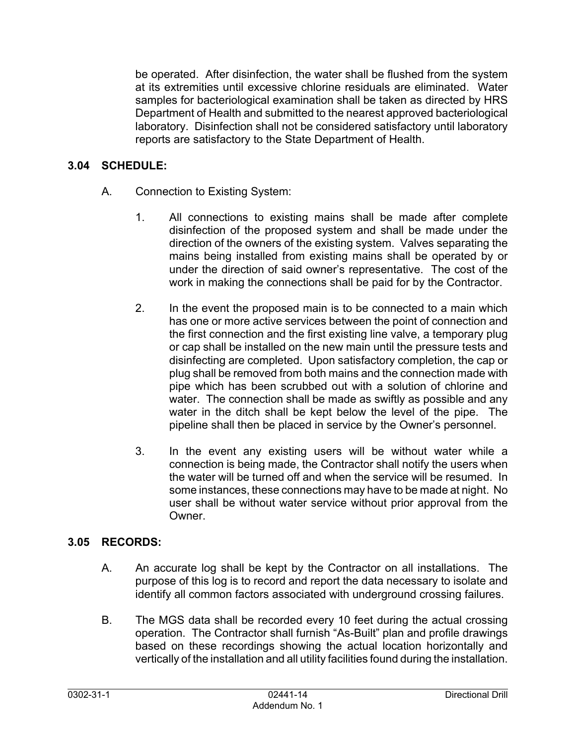be operated. After disinfection, the water shall be flushed from the system at its extremities until excessive chlorine residuals are eliminated. Water samples for bacteriological examination shall be taken as directed by HRS Department of Health and submitted to the nearest approved bacteriological laboratory. Disinfection shall not be considered satisfactory until laboratory reports are satisfactory to the State Department of Health.

### **3.04 SCHEDULE:**

- A. Connection to Existing System:
	- 1. All connections to existing mains shall be made after complete disinfection of the proposed system and shall be made under the direction of the owners of the existing system. Valves separating the mains being installed from existing mains shall be operated by or under the direction of said owner's representative. The cost of the work in making the connections shall be paid for by the Contractor.
	- 2. In the event the proposed main is to be connected to a main which has one or more active services between the point of connection and the first connection and the first existing line valve, a temporary plug or cap shall be installed on the new main until the pressure tests and disinfecting are completed. Upon satisfactory completion, the cap or plug shall be removed from both mains and the connection made with pipe which has been scrubbed out with a solution of chlorine and water. The connection shall be made as swiftly as possible and any water in the ditch shall be kept below the level of the pipe. The pipeline shall then be placed in service by the Owner's personnel.
	- 3. In the event any existing users will be without water while a connection is being made, the Contractor shall notify the users when the water will be turned off and when the service will be resumed. In some instances, these connections may have to be made at night. No user shall be without water service without prior approval from the Owner.

### **3.05 RECORDS:**

- A. An accurate log shall be kept by the Contractor on all installations. The purpose of this log is to record and report the data necessary to isolate and identify all common factors associated with underground crossing failures.
- B. The MGS data shall be recorded every 10 feet during the actual crossing operation. The Contractor shall furnish "As-Built" plan and profile drawings based on these recordings showing the actual location horizontally and vertically of the installation and all utility facilities found during the installation.